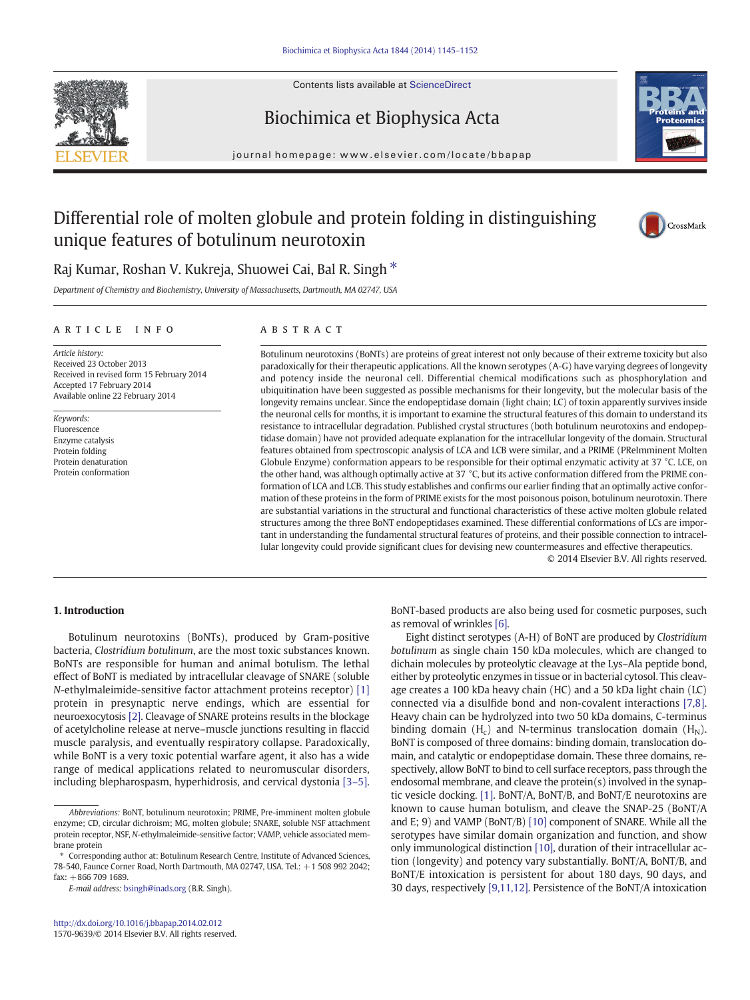Contents lists available at ScienceDirect





Biochimica et Biophysica Acta

journal homepage: www.elsevier.com/locate/bbapap

# Differential role of molten globule and protein folding in distinguishing unique features of botulinum neurotoxin



## Raj Kumar, Roshan V. Kukreja, Shuowei Cai, Bal R. Singh  $*$

Department of Chemistry and Biochemistry, University of Massachusetts, Dartmouth, MA 02747, USA

#### article info abstract

Article history: Received 23 October 2013 Received in revised form 15 February 2014 Accepted 17 February 2014 Available online 22 February 2014

Keywords: Fluorescence Enzyme catalysis Protein folding Protein denaturation Protein conformation

Botulinum neurotoxins (BoNTs) are proteins of great interest not only because of their extreme toxicity but also paradoxically for their therapeutic applications. All the known serotypes (A-G) have varying degrees of longevity and potency inside the neuronal cell. Differential chemical modifications such as phosphorylation and ubiquitination have been suggested as possible mechanisms for their longevity, but the molecular basis of the longevity remains unclear. Since the endopeptidase domain (light chain; LC) of toxin apparently survives inside the neuronal cells for months, it is important to examine the structural features of this domain to understand its resistance to intracellular degradation. Published crystal structures (both botulinum neurotoxins and endopeptidase domain) have not provided adequate explanation for the intracellular longevity of the domain. Structural features obtained from spectroscopic analysis of LCA and LCB were similar, and a PRIME (PReImminent Molten Globule Enzyme) conformation appears to be responsible for their optimal enzymatic activity at 37 °C. LCE, on the other hand, was although optimally active at 37 °C, but its active conformation differed from the PRIME conformation of LCA and LCB. This study establishes and confirms our earlier finding that an optimally active conformation of these proteins in the form of PRIME exists for the most poisonous poison, botulinum neurotoxin. There are substantial variations in the structural and functional characteristics of these active molten globule related structures among the three BoNT endopeptidases examined. These differential conformations of LCs are important in understanding the fundamental structural features of proteins, and their possible connection to intracellular longevity could provide significant clues for devising new countermeasures and effective therapeutics. © 2014 Elsevier B.V. All rights reserved.

### 1. Introduction

Botulinum neurotoxins (BoNTs), produced by Gram-positive bacteria, Clostridium botulinum, are the most toxic substances known. BoNTs are responsible for human and animal botulism. The lethal effect of BoNT is mediated by intracellular cleavage of SNARE (soluble N-ethylmaleimide-sensitive factor attachment proteins receptor) [\[1\]](#page-6-0) protein in presynaptic nerve endings, which are essential for neuroexocytosis [\[2\].](#page-6-0) Cleavage of SNARE proteins results in the blockage of acetylcholine release at nerve–muscle junctions resulting in flaccid muscle paralysis, and eventually respiratory collapse. Paradoxically, while BoNT is a very toxic potential warfare agent, it also has a wide range of medical applications related to neuromuscular disorders, including blepharospasm, hyperhidrosis, and cervical dystonia [3–[5\].](#page-6-0) BoNT-based products are also being used for cosmetic purposes, such as removal of wrinkles [\[6\].](#page-6-0)

Eight distinct serotypes (A-H) of BoNT are produced by Clostridium botulinum as single chain 150 kDa molecules, which are changed to dichain molecules by proteolytic cleavage at the Lys–Ala peptide bond, either by proteolytic enzymes in tissue or in bacterial cytosol. This cleavage creates a 100 kDa heavy chain (HC) and a 50 kDa light chain (LC) connected via a disulfide bond and non-covalent interactions [\[7,8\].](#page-6-0) Heavy chain can be hydrolyzed into two 50 kDa domains, C-terminus binding domain  $(H_c)$  and N-terminus translocation domain  $(H_N)$ . BoNT is composed of three domains: binding domain, translocation domain, and catalytic or endopeptidase domain. These three domains, respectively, allow BoNT to bind to cell surface receptors, pass through the endosomal membrane, and cleave the protein(s) involved in the synaptic vesicle docking. [\[1\].](#page-6-0) BoNT/A, BoNT/B, and BoNT/E neurotoxins are known to cause human botulism, and cleave the SNAP-25 (BoNT/A and E; 9) and VAMP (BoNT/B) [\[10\]](#page-6-0) component of SNARE. While all the serotypes have similar domain organization and function, and show only immunological distinction [\[10\]](#page-6-0), duration of their intracellular action (longevity) and potency vary substantially. BoNT/A, BoNT/B, and BoNT/E intoxication is persistent for about 180 days, 90 days, and 30 days, respectively [\[9,11,12\].](#page-6-0) Persistence of the BoNT/A intoxication

Abbreviations: BoNT, botulinum neurotoxin; PRIME, Pre-imminent molten globule enzyme; CD, circular dichroism; MG, molten globule; SNARE, soluble NSF attachment protein receptor, NSF, N-ethylmaleimide-sensitive factor; VAMP, vehicle associated membrane protein

Corresponding author at: Botulinum Research Centre, Institute of Advanced Sciences, 78-540, Faunce Corner Road, North Dartmouth, MA 02747, USA. Tel.: +1 508 992 2042;  $fax: +866\,709\,1689$ .

E-mail address: [bsingh@inads.org](mailto:bsingh@inads.org) (B.R. Singh).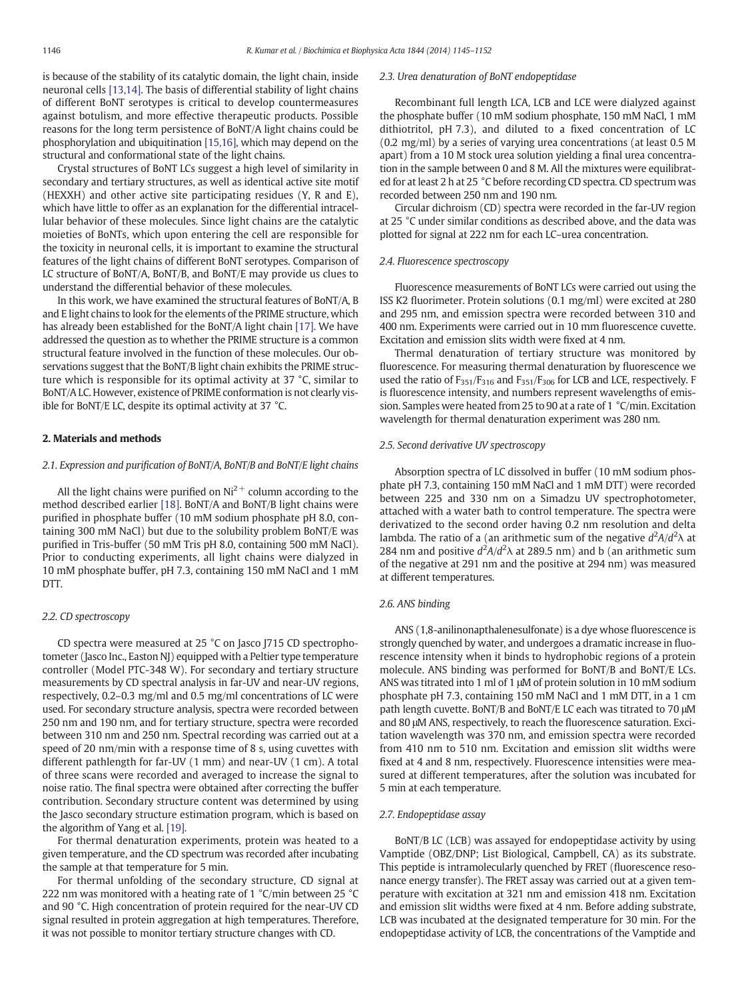is because of the stability of its catalytic domain, the light chain, inside neuronal cells [\[13,14\].](#page-7-0) The basis of differential stability of light chains of different BoNT serotypes is critical to develop countermeasures against botulism, and more effective therapeutic products. Possible reasons for the long term persistence of BoNT/A light chains could be phosphorylation and ubiquitination [\[15,16\]](#page-7-0), which may depend on the structural and conformational state of the light chains.

Crystal structures of BoNT LCs suggest a high level of similarity in secondary and tertiary structures, as well as identical active site motif (HEXXH) and other active site participating residues (Y, R and E), which have little to offer as an explanation for the differential intracellular behavior of these molecules. Since light chains are the catalytic moieties of BoNTs, which upon entering the cell are responsible for the toxicity in neuronal cells, it is important to examine the structural features of the light chains of different BoNT serotypes. Comparison of LC structure of BoNT/A, BoNT/B, and BoNT/E may provide us clues to understand the differential behavior of these molecules.

In this work, we have examined the structural features of BoNT/A, B and E light chains to look for the elements of the PRIME structure, which has already been established for the BoNT/A light chain [\[17\]](#page-7-0). We have addressed the question as to whether the PRIME structure is a common structural feature involved in the function of these molecules. Our observations suggest that the BoNT/B light chain exhibits the PRIME structure which is responsible for its optimal activity at 37 °C, similar to BoNT/A LC. However, existence of PRIME conformation is not clearly visible for BoNT/E LC, despite its optimal activity at 37 °C.

#### 2. Materials and methods

#### 2.1. Expression and purification of BoNT/A, BoNT/B and BoNT/E light chains

All the light chains were purified on  $Ni<sup>2+</sup>$  column according to the method described earlier [\[18\].](#page-7-0) BoNT/A and BoNT/B light chains were purified in phosphate buffer (10 mM sodium phosphate pH 8.0, containing 300 mM NaCl) but due to the solubility problem BoNT/E was purified in Tris-buffer (50 mM Tris pH 8.0, containing 500 mM NaCl). Prior to conducting experiments, all light chains were dialyzed in 10 mM phosphate buffer, pH 7.3, containing 150 mM NaCl and 1 mM DTT.

#### 2.2. CD spectroscopy

CD spectra were measured at 25 °C on Jasco J715 CD spectrophotometer (Jasco Inc., Easton NJ) equipped with a Peltier type temperature controller (Model PTC-348 W). For secondary and tertiary structure measurements by CD spectral analysis in far-UV and near-UV regions, respectively, 0.2–0.3 mg/ml and 0.5 mg/ml concentrations of LC were used. For secondary structure analysis, spectra were recorded between 250 nm and 190 nm, and for tertiary structure, spectra were recorded between 310 nm and 250 nm. Spectral recording was carried out at a speed of 20 nm/min with a response time of 8 s, using cuvettes with different pathlength for far-UV (1 mm) and near-UV (1 cm). A total of three scans were recorded and averaged to increase the signal to noise ratio. The final spectra were obtained after correcting the buffer contribution. Secondary structure content was determined by using the Jasco secondary structure estimation program, which is based on the algorithm of Yang et al. [\[19\].](#page-7-0)

For thermal denaturation experiments, protein was heated to a given temperature, and the CD spectrum was recorded after incubating the sample at that temperature for 5 min.

For thermal unfolding of the secondary structure, CD signal at 222 nm was monitored with a heating rate of 1 °C/min between 25 °C and 90 °C. High concentration of protein required for the near-UV CD signal resulted in protein aggregation at high temperatures. Therefore, it was not possible to monitor tertiary structure changes with CD.

#### 2.3. Urea denaturation of BoNT endopeptidase

Recombinant full length LCA, LCB and LCE were dialyzed against the phosphate buffer (10 mM sodium phosphate, 150 mM NaCl, 1 mM dithiotritol, pH 7.3), and diluted to a fixed concentration of LC (0.2 mg/ml) by a series of varying urea concentrations (at least 0.5 M apart) from a 10 M stock urea solution yielding a final urea concentration in the sample between 0 and 8 M. All the mixtures were equilibrated for at least 2 h at 25 °C before recording CD spectra. CD spectrum was recorded between 250 nm and 190 nm.

Circular dichroism (CD) spectra were recorded in the far-UV region at 25 °C under similar conditions as described above, and the data was plotted for signal at 222 nm for each LC–urea concentration.

#### 2.4. Fluorescence spectroscopy

Fluorescence measurements of BoNT LCs were carried out using the ISS K2 fluorimeter. Protein solutions (0.1 mg/ml) were excited at 280 and 295 nm, and emission spectra were recorded between 310 and 400 nm. Experiments were carried out in 10 mm fluorescence cuvette. Excitation and emission slits width were fixed at 4 nm.

Thermal denaturation of tertiary structure was monitored by fluorescence. For measuring thermal denaturation by fluorescence we used the ratio of F<sub>351</sub>/F<sub>316</sub> and F<sub>351</sub>/F<sub>306</sub> for LCB and LCE, respectively. F is fluorescence intensity, and numbers represent wavelengths of emission. Samples were heated from 25 to 90 at a rate of 1 °C/min. Excitation wavelength for thermal denaturation experiment was 280 nm.

#### 2.5. Second derivative UV spectroscopy

Absorption spectra of LC dissolved in buffer (10 mM sodium phosphate pH 7.3, containing 150 mM NaCl and 1 mM DTT) were recorded between 225 and 330 nm on a Simadzu UV spectrophotometer, attached with a water bath to control temperature. The spectra were derivatized to the second order having 0.2 nm resolution and delta lambda. The ratio of a (an arithmetic sum of the negative  $d^2A/d^2\lambda$  at 284 nm and positive  $d^2A/d^2\lambda$  at 289.5 nm) and b (an arithmetic sum of the negative at 291 nm and the positive at 294 nm) was measured at different temperatures.

#### 2.6. ANS binding

ANS (1,8-anilinonapthalenesulfonate) is a dye whose fluorescence is strongly quenched by water, and undergoes a dramatic increase in fluorescence intensity when it binds to hydrophobic regions of a protein molecule. ANS binding was performed for BoNT/B and BoNT/E LCs. ANS was titrated into 1 ml of 1 μM of protein solution in 10 mM sodium phosphate pH 7.3, containing 150 mM NaCl and 1 mM DTT, in a 1 cm path length cuvette. BoNT/B and BoNT/E LC each was titrated to 70 μM and 80 μM ANS, respectively, to reach the fluorescence saturation. Excitation wavelength was 370 nm, and emission spectra were recorded from 410 nm to 510 nm. Excitation and emission slit widths were fixed at 4 and 8 nm, respectively. Fluorescence intensities were measured at different temperatures, after the solution was incubated for 5 min at each temperature.

#### 2.7. Endopeptidase assay

BoNT/B LC (LCB) was assayed for endopeptidase activity by using Vamptide (OBZ/DNP; List Biological, Campbell, CA) as its substrate. This peptide is intramolecularly quenched by FRET (fluorescence resonance energy transfer). The FRET assay was carried out at a given temperature with excitation at 321 nm and emission 418 nm. Excitation and emission slit widths were fixed at 4 nm. Before adding substrate, LCB was incubated at the designated temperature for 30 min. For the endopeptidase activity of LCB, the concentrations of the Vamptide and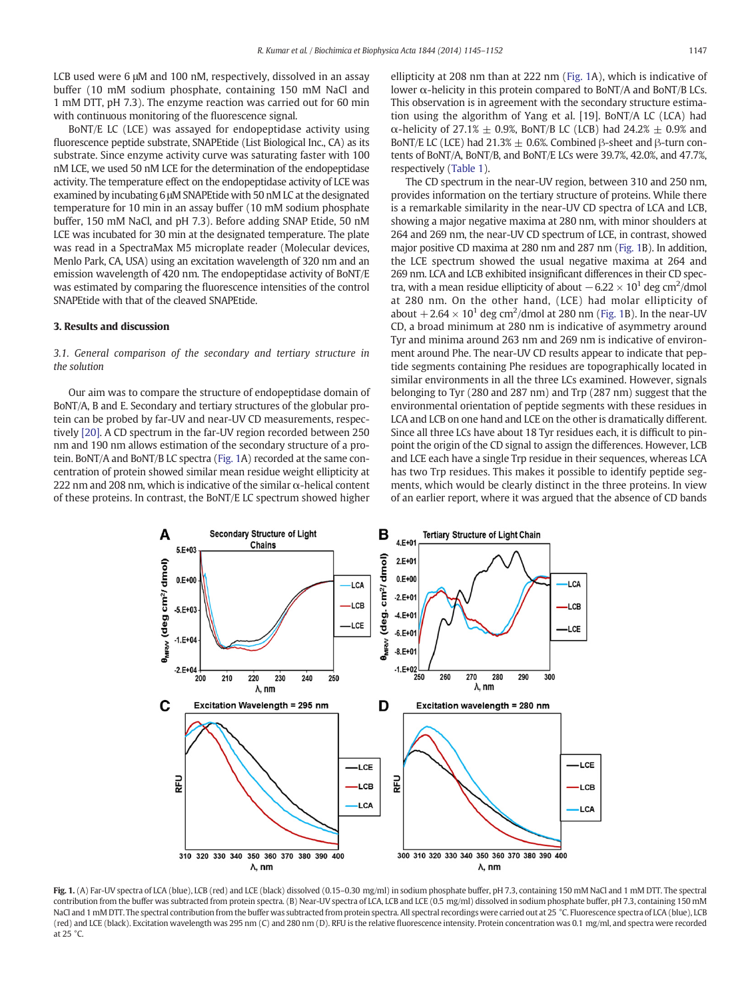<span id="page-2-0"></span>LCB used were 6 μM and 100 nM, respectively, dissolved in an assay buffer (10 mM sodium phosphate, containing 150 mM NaCl and 1 mM DTT, pH 7.3). The enzyme reaction was carried out for 60 min with continuous monitoring of the fluorescence signal.

BoNT/E LC (LCE) was assayed for endopeptidase activity using fluorescence peptide substrate, SNAPEtide (List Biological Inc., CA) as its substrate. Since enzyme activity curve was saturating faster with 100 nM LCE, we used 50 nM LCE for the determination of the endopeptidase activity. The temperature effect on the endopeptidase activity of LCE was examined by incubating 6 μM SNAPEtide with 50 nM LC at the designated temperature for 10 min in an assay buffer (10 mM sodium phosphate buffer, 150 mM NaCl, and pH 7.3). Before adding SNAP Etide, 50 nM LCE was incubated for 30 min at the designated temperature. The plate was read in a SpectraMax M5 microplate reader (Molecular devices, Menlo Park, CA, USA) using an excitation wavelength of 320 nm and an emission wavelength of 420 nm. The endopeptidase activity of BoNT/E was estimated by comparing the fluorescence intensities of the control SNAPEtide with that of the cleaved SNAPEtide.

#### 3. Results and discussion

3.1. General comparison of the secondary and tertiary structure in the solution

Our aim was to compare the structure of endopeptidase domain of BoNT/A, B and E. Secondary and tertiary structures of the globular protein can be probed by far-UV and near-UV CD measurements, respectively [\[20\]](#page-7-0). A CD spectrum in the far-UV region recorded between 250 nm and 190 nm allows estimation of the secondary structure of a protein. BoNT/A and BoNT/B LC spectra (Fig. 1A) recorded at the same concentration of protein showed similar mean residue weight ellipticity at 222 nm and 208 nm, which is indicative of the similar  $\alpha$ -helical content of these proteins. In contrast, the BoNT/E LC spectrum showed higher ellipticity at 208 nm than at 222 nm (Fig. 1A), which is indicative of lower  $\alpha$ -helicity in this protein compared to BoNT/A and BoNT/B LCs. This observation is in agreement with the secondary structure estimation using the algorithm of Yang et al. [19]. BoNT/A LC (LCA) had α-helicity of 27.1%  $\pm$  0.9%, BoNT/B LC (LCB) had 24.2%  $\pm$  0.9% and BoNT/E LC (LCE) had 21.3%  $\pm$  0.6%. Combined β-sheet and β-turn contents of BoNT/A, BoNT/B, and BoNT/E LCs were 39.7%, 42.0%, and 47.7%, respectively ([Table 1](#page-3-0)).

The CD spectrum in the near-UV region, between 310 and 250 nm, provides information on the tertiary structure of proteins. While there is a remarkable similarity in the near-UV CD spectra of LCA and LCB, showing a major negative maxima at 280 nm, with minor shoulders at 264 and 269 nm, the near-UV CD spectrum of LCE, in contrast, showed major positive CD maxima at 280 nm and 287 nm (Fig. 1B). In addition, the LCE spectrum showed the usual negative maxima at 264 and 269 nm. LCA and LCB exhibited insignificant differences in their CD spectra, with a mean residue ellipticity of about  $-6.22 \times 10^{1}$  deg cm<sup>2</sup>/dmol at 280 nm. On the other hand, (LCE) had molar ellipticity of about  $+2.64 \times 10^{1}$  deg cm<sup>2</sup>/dmol at 280 nm (Fig. 1B). In the near-UV CD, a broad minimum at 280 nm is indicative of asymmetry around Tyr and minima around 263 nm and 269 nm is indicative of environment around Phe. The near-UV CD results appear to indicate that peptide segments containing Phe residues are topographically located in similar environments in all the three LCs examined. However, signals belonging to Tyr (280 and 287 nm) and Trp (287 nm) suggest that the environmental orientation of peptide segments with these residues in LCA and LCB on one hand and LCE on the other is dramatically different. Since all three LCs have about 18 Tyr residues each, it is difficult to pinpoint the origin of the CD signal to assign the differences. However, LCB and LCE each have a single Trp residue in their sequences, whereas LCA has two Trp residues. This makes it possible to identify peptide segments, which would be clearly distinct in the three proteins. In view of an earlier report, where it was argued that the absence of CD bands



Fig. 1. (A) Far-UV spectra of LCA (blue), LCB (red) and LCE (black) dissolved (0.15–0.30 mg/ml) in sodium phosphate buffer, pH 7.3, containing 150 mM NaCl and 1 mM DTT. The spectral contribution from the buffer was subtracted from protein spectra. (B) Near-UV spectra of LCA, LCB and LCE (0.5 mg/ml) dissolved in sodium phosphate buffer, pH 7.3, containing 150 mM NaCl and 1 mM DTT. The spectral contribution from the buffer was subtracted from protein spectra. All spectral recordings were carried out at 25 °C. Fluorescence spectra of LCA (blue), LCB (red) and LCE (black). Excitation wavelength was 295 nm (C) and 280 nm (D). RFU is the relative fluorescence intensity. Protein concentration was 0.1 mg/ml, and spectra were recorded at 25 °C.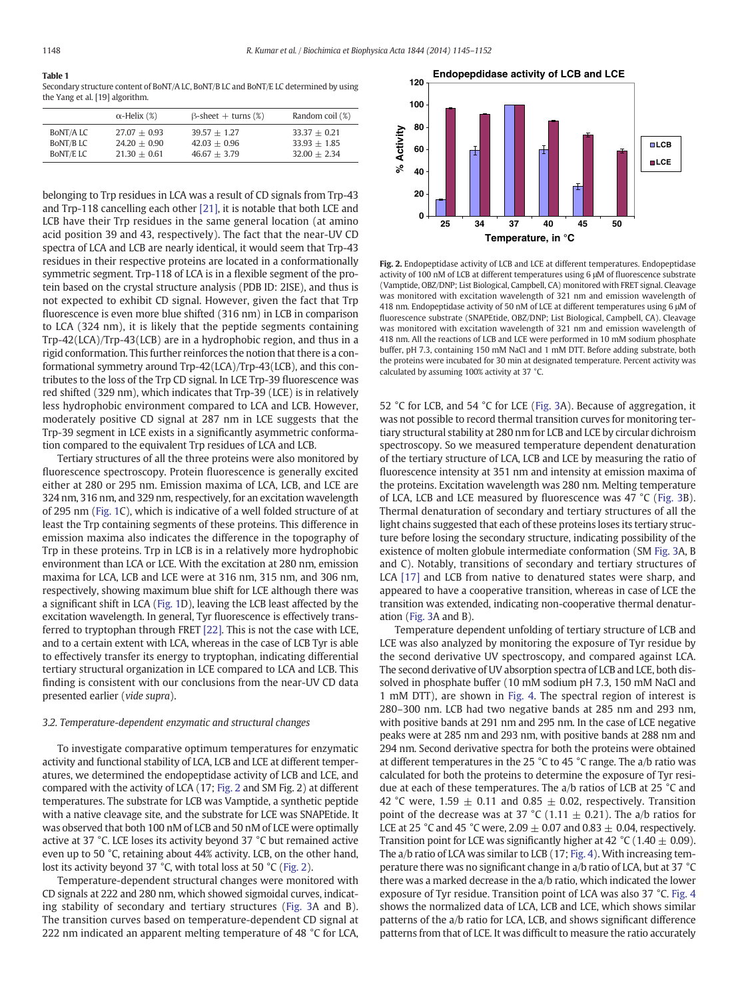#### <span id="page-3-0"></span>Table 1

Secondary structure content of BoNT/A LC, BoNT/B LC and BoNT/E LC determined by using the Yang et al. [19] algorithm.

|           | $\alpha$ -Helix (%) | $\beta$ -sheet + turns $(\%)$ | Random coil (%) |
|-----------|---------------------|-------------------------------|-----------------|
| BoNT/A LC | $27.07 + 0.93$      | $39.57 + 1.27$                | $33.37 + 0.21$  |
| BoNT/B LC | $24.20 + 0.90$      | $42.03 + 0.96$                | $33.93 + 1.85$  |
| BONT/E LC | $21.30 + 0.61$      | $46.67 + 3.79$                | $32.00 + 2.34$  |

belonging to Trp residues in LCA was a result of CD signals from Trp-43 and Trp-118 cancelling each other [\[21\],](#page-7-0) it is notable that both LCE and LCB have their Trp residues in the same general location (at amino acid position 39 and 43, respectively). The fact that the near-UV CD spectra of LCA and LCB are nearly identical, it would seem that Trp-43 residues in their respective proteins are located in a conformationally symmetric segment. Trp-118 of LCA is in a flexible segment of the protein based on the crystal structure analysis (PDB ID: 2ISE), and thus is not expected to exhibit CD signal. However, given the fact that Trp fluorescence is even more blue shifted (316 nm) in LCB in comparison to LCA (324 nm), it is likely that the peptide segments containing Trp-42(LCA)/Trp-43(LCB) are in a hydrophobic region, and thus in a rigid conformation. This further reinforces the notion that there is a conformational symmetry around Trp-42(LCA)/Trp-43(LCB), and this contributes to the loss of the Trp CD signal. In LCE Trp-39 fluorescence was red shifted (329 nm), which indicates that Trp-39 (LCE) is in relatively less hydrophobic environment compared to LCA and LCB. However, moderately positive CD signal at 287 nm in LCE suggests that the Trp-39 segment in LCE exists in a significantly asymmetric conformation compared to the equivalent Trp residues of LCA and LCB.

Tertiary structures of all the three proteins were also monitored by fluorescence spectroscopy. Protein fluorescence is generally excited either at 280 or 295 nm. Emission maxima of LCA, LCB, and LCE are 324 nm, 316 nm, and 329 nm, respectively, for an excitation wavelength of 295 nm [\(Fig. 1](#page-2-0)C), which is indicative of a well folded structure of at least the Trp containing segments of these proteins. This difference in emission maxima also indicates the difference in the topography of Trp in these proteins. Trp in LCB is in a relatively more hydrophobic environment than LCA or LCE. With the excitation at 280 nm, emission maxima for LCA, LCB and LCE were at 316 nm, 315 nm, and 306 nm, respectively, showing maximum blue shift for LCE although there was a significant shift in LCA ([Fig. 1D](#page-2-0)), leaving the LCB least affected by the excitation wavelength. In general, Tyr fluorescence is effectively transferred to tryptophan through FRET [\[22\]](#page-7-0). This is not the case with LCE, and to a certain extent with LCA, whereas in the case of LCB Tyr is able to effectively transfer its energy to tryptophan, indicating differential tertiary structural organization in LCE compared to LCA and LCB. This finding is consistent with our conclusions from the near-UV CD data presented earlier (vide supra).

#### 3.2. Temperature-dependent enzymatic and structural changes

To investigate comparative optimum temperatures for enzymatic activity and functional stability of LCA, LCB and LCE at different temperatures, we determined the endopeptidase activity of LCB and LCE, and compared with the activity of LCA (17; Fig. 2 and SM Fig. 2) at different temperatures. The substrate for LCB was Vamptide, a synthetic peptide with a native cleavage site, and the substrate for LCE was SNAPEtide. It was observed that both 100 nM of LCB and 50 nM of LCE were optimally active at 37 °C. LCE loses its activity beyond 37 °C but remained active even up to 50 °C, retaining about 44% activity. LCB, on the other hand, lost its activity beyond 37 °C, with total loss at 50 °C (Fig. 2).

Temperature-dependent structural changes were monitored with CD signals at 222 and 280 nm, which showed sigmoidal curves, indicating stability of secondary and tertiary structures [\(Fig. 3](#page-4-0)A and B). The transition curves based on temperature-dependent CD signal at 222 nm indicated an apparent melting temperature of 48 °C for LCA,



Fig. 2. Endopeptidase activity of LCB and LCE at different temperatures. Endopeptidase activity of 100 nM of LCB at different temperatures using 6 μM of fluorescence substrate (Vamptide, OBZ/DNP; List Biological, Campbell, CA) monitored with FRET signal. Cleavage was monitored with excitation wavelength of 321 nm and emission wavelength of 418 nm. Endopeptidase activity of 50 nM of LCE at different temperatures using 6 μM of fluorescence substrate (SNAPEtide, OBZ/DNP; List Biological, Campbell, CA). Cleavage was monitored with excitation wavelength of 321 nm and emission wavelength of 418 nm. All the reactions of LCB and LCE were performed in 10 mM sodium phosphate buffer, pH 7.3, containing 150 mM NaCl and 1 mM DTT. Before adding substrate, both the proteins were incubated for 30 min at designated temperature. Percent activity was calculated by assuming 100% activity at 37 °C.

52 °C for LCB, and 54 °C for LCE [\(Fig. 3](#page-4-0)A). Because of aggregation, it was not possible to record thermal transition curves for monitoring tertiary structural stability at 280 nm for LCB and LCE by circular dichroism spectroscopy. So we measured temperature dependent denaturation of the tertiary structure of LCA, LCB and LCE by measuring the ratio of fluorescence intensity at 351 nm and intensity at emission maxima of the proteins. Excitation wavelength was 280 nm. Melting temperature of LCA, LCB and LCE measured by fluorescence was 47 °C ([Fig. 3B](#page-4-0)). Thermal denaturation of secondary and tertiary structures of all the light chains suggested that each of these proteins loses its tertiary structure before losing the secondary structure, indicating possibility of the existence of molten globule intermediate conformation (SM [Fig. 3A](#page-4-0), B and C). Notably, transitions of secondary and tertiary structures of LCA [\[17\]](#page-7-0) and LCB from native to denatured states were sharp, and appeared to have a cooperative transition, whereas in case of LCE the transition was extended, indicating non-cooperative thermal denaturation [\(Fig. 3](#page-4-0)A and B).

Temperature dependent unfolding of tertiary structure of LCB and LCE was also analyzed by monitoring the exposure of Tyr residue by the second derivative UV spectroscopy, and compared against LCA. The second derivative of UV absorption spectra of LCB and LCE, both dissolved in phosphate buffer (10 mM sodium pH 7.3, 150 mM NaCl and 1 mM DTT), are shown in [Fig. 4](#page-4-0). The spectral region of interest is 280–300 nm. LCB had two negative bands at 285 nm and 293 nm, with positive bands at 291 nm and 295 nm. In the case of LCE negative peaks were at 285 nm and 293 nm, with positive bands at 288 nm and 294 nm. Second derivative spectra for both the proteins were obtained at different temperatures in the 25 °C to 45 °C range. The a/b ratio was calculated for both the proteins to determine the exposure of Tyr residue at each of these temperatures. The a/b ratios of LCB at 25 °C and 42 °C were, 1.59  $\pm$  0.11 and 0.85  $\pm$  0.02, respectively. Transition point of the decrease was at 37 °C (1.11  $\pm$  0.21). The a/b ratios for LCE at 25 °C and 45 °C were, 2.09  $\pm$  0.07 and 0.83  $\pm$  0.04, respectively. Transition point for LCE was significantly higher at 42  $^{\circ}$ C (1.40  $\pm$  0.09). The a/b ratio of LCA was similar to LCB (17; [Fig. 4](#page-4-0)). With increasing temperature there was no significant change in a/b ratio of LCA, but at 37 °C there was a marked decrease in the a/b ratio, which indicated the lower exposure of Tyr residue. Transition point of LCA was also 37 °C. [Fig. 4](#page-4-0) shows the normalized data of LCA, LCB and LCE, which shows similar patterns of the a/b ratio for LCA, LCB, and shows significant difference patterns from that of LCE. It was difficult to measure the ratio accurately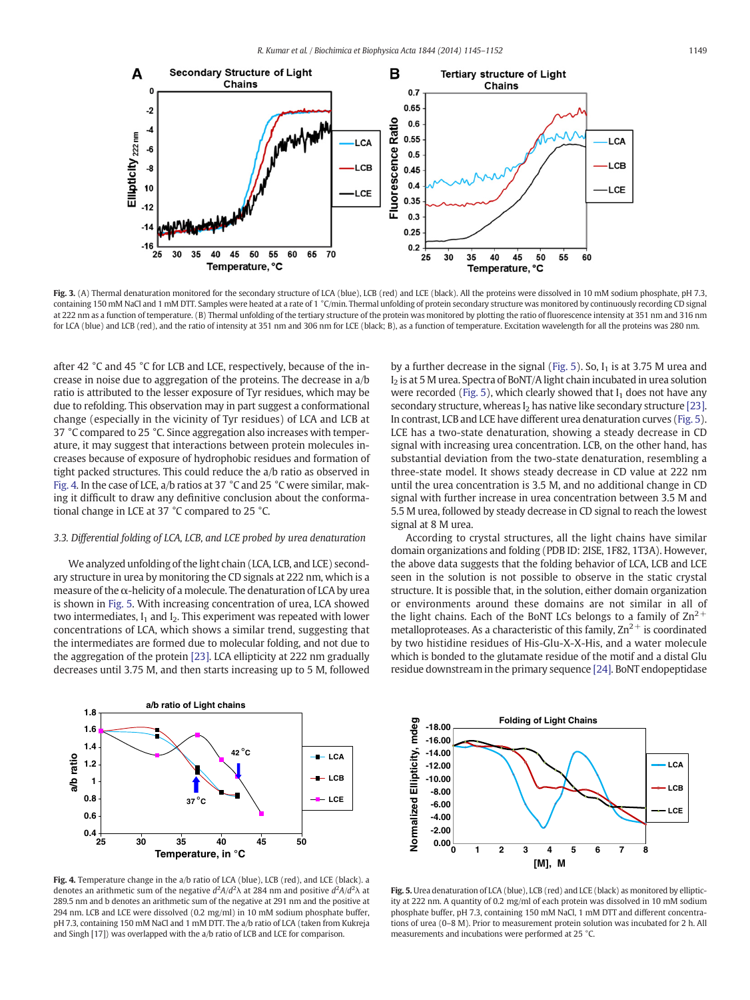<span id="page-4-0"></span>

Fig. 3. (A) Thermal denaturation monitored for the secondary structure of LCA (blue), LCB (red) and LCE (black). All the proteins were dissolved in 10 mM sodium phosphate, pH 7.3, containing 150 mM NaCl and 1 mM DTT. Samples were heated at a rate of 1 °C/min. Thermal unfolding of protein secondary structure was monitored by continuously recording CD signal at 222 nm as a function of temperature. (B) Thermal unfolding of the tertiary structure of the protein was monitored by plotting the ratio of fluorescence intensity at 351 nm and 316 nm for LCA (blue) and LCB (red), and the ratio of intensity at 351 nm and 306 nm for LCE (black; B), as a function of temperature. Excitation wavelength for all the proteins was 280 nm.

after 42 °C and 45 °C for LCB and LCE, respectively, because of the increase in noise due to aggregation of the proteins. The decrease in a/b ratio is attributed to the lesser exposure of Tyr residues, which may be due to refolding. This observation may in part suggest a conformational change (especially in the vicinity of Tyr residues) of LCA and LCB at 37 °C compared to 25 °C. Since aggregation also increases with temperature, it may suggest that interactions between protein molecules increases because of exposure of hydrophobic residues and formation of tight packed structures. This could reduce the a/b ratio as observed in Fig. 4. In the case of LCE, a/b ratios at 37 °C and 25 °C were similar, making it difficult to draw any definitive conclusion about the conformational change in LCE at 37 °C compared to 25 °C.

#### 3.3. Differential folding of LCA, LCB, and LCE probed by urea denaturation

We analyzed unfolding of the light chain (LCA, LCB, and LCE) secondary structure in urea by monitoring the CD signals at 222 nm, which is a measure of the  $\alpha$ -helicity of a molecule. The denaturation of LCA by urea is shown in Fig. 5. With increasing concentration of urea, LCA showed two intermediates,  $I_1$  and  $I_2$ . This experiment was repeated with lower concentrations of LCA, which shows a similar trend, suggesting that the intermediates are formed due to molecular folding, and not due to the aggregation of the protein [\[23\]](#page-7-0). LCA ellipticity at 222 nm gradually decreases until 3.75 M, and then starts increasing up to 5 M, followed

**a/b ratio of Light chains LCA LCB 37 °C LCE 42 °C**

Fig. 4. Temperature change in the a/b ratio of LCA (blue), LCB (red), and LCE (black). a denotes an arithmetic sum of the negative  $d^2A/d^2\lambda$  at 284 nm and positive  $d^2A/d^2\lambda$  at 289.5 nm and b denotes an arithmetic sum of the negative at 291 nm and the positive at 294 nm. LCB and LCE were dissolved (0.2 mg/ml) in 10 mM sodium phosphate buffer, pH 7.3, containing 150 mM NaCl and 1 mM DTT. The a/b ratio of LCA (taken from Kukreja and Singh [17]) was overlapped with the a/b ratio of LCB and LCE for comparison.

**[25 30 35 40 45 50](image of Fig.�4)**

**Temperature, in °C**

 $0.4 +$ <br>25 **0.6 0.8 1 1.2 1.4 1.6 1.8**

**a/b ratio**

by a further decrease in the signal (Fig. 5). So,  $I_1$  is at 3.75 M urea and I<sub>2</sub> is at 5 M urea. Spectra of BoNT/A light chain incubated in urea solution were recorded (Fig. 5), which clearly showed that  $I_1$  does not have any secondary structure, whereas  $I_2$  has native like secondary structure [\[23\].](#page-7-0) In contrast, LCB and LCE have different urea denaturation curves (Fig. 5). LCE has a two-state denaturation, showing a steady decrease in CD signal with increasing urea concentration. LCB, on the other hand, has substantial deviation from the two-state denaturation, resembling a three-state model. It shows steady decrease in CD value at 222 nm until the urea concentration is 3.5 M, and no additional change in CD signal with further increase in urea concentration between 3.5 M and 5.5 M urea, followed by steady decrease in CD signal to reach the lowest signal at 8 M urea.

According to crystal structures, all the light chains have similar domain organizations and folding (PDB ID: 2ISE, 1F82, 1T3A). However, the above data suggests that the folding behavior of LCA, LCB and LCE seen in the solution is not possible to observe in the static crystal structure. It is possible that, in the solution, either domain organization or environments around these domains are not similar in all of the light chains. Each of the BoNT LCs belongs to a family of  $\text{Zn}^{2+}$ metalloproteases. As a characteristic of this family,  $\text{Zn}^{2+}$  is coordinated by two histidine residues of His-Glu-X-X-His, and a water molecule which is bonded to the glutamate residue of the motif and a distal Glu residue downstream in the primary sequence [\[24\]](#page-7-0). BoNT endopeptidase



Fig. 5. Urea denaturation of LCA (blue), LCB (red) and LCE (black) as monitored by ellipticity at 222 nm. A quantity of 0.2 mg/ml of each protein was dissolved in 10 mM sodium phosphate buffer, pH 7.3, containing 150 mM NaCl, 1 mM DTT and different concentrations of urea (0–8 M). Prior to measurement protein solution was incubated for 2 h. All measurements and incubations were performed at 25 °C.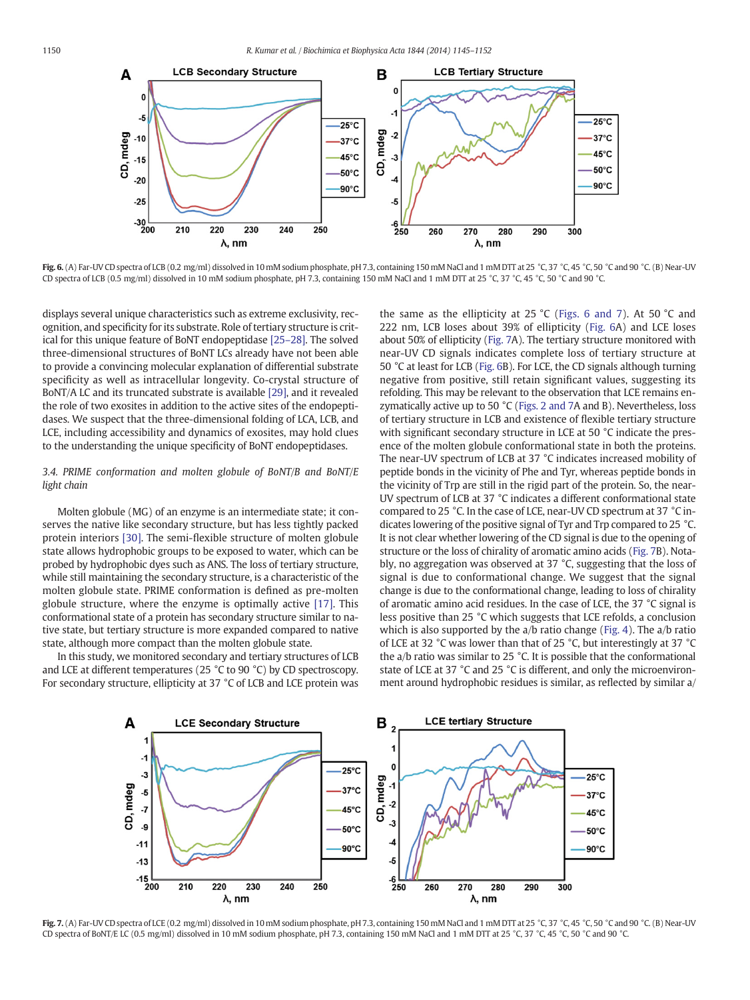<span id="page-5-0"></span>

Fig. 6. (A) Far-UV CD spectra of LCB (0.2 mg/ml) dissolved in 10 mM sodium phosphate, pH 7.3, containing 150 mM NaCl and 1 mM DTT at 25 °C, 37 °C, 45 °C, 50 °C and 90 °C. (B) Near-UV CD spectra of LCB (0.5 mg/ml) dissolved in 10 mM sodium phosphate, pH 7.3, containing 150 mM NaCl and 1 mM DTT at 25 °C, 37 °C, 45 °C, 50 °C and 90 °C.

displays several unique characteristics such as extreme exclusivity, recognition, and specificity for its substrate. Role of tertiary structure is critical for this unique feature of BoNT endopeptidase [25–[28\].](#page-7-0) The solved three-dimensional structures of BoNT LCs already have not been able to provide a convincing molecular explanation of differential substrate specificity as well as intracellular longevity. Co-crystal structure of BoNT/A LC and its truncated substrate is available [\[29\],](#page-7-0) and it revealed the role of two exosites in addition to the active sites of the endopeptidases. We suspect that the three-dimensional folding of LCA, LCB, and LCE, including accessibility and dynamics of exosites, may hold clues to the understanding the unique specificity of BoNT endopeptidases.

#### 3.4. PRIME conformation and molten globule of BoNT/B and BoNT/E light chain

Molten globule (MG) of an enzyme is an intermediate state; it conserves the native like secondary structure, but has less tightly packed protein interiors [\[30\]](#page-7-0). The semi-flexible structure of molten globule state allows hydrophobic groups to be exposed to water, which can be probed by hydrophobic dyes such as ANS. The loss of tertiary structure, while still maintaining the secondary structure, is a characteristic of the molten globule state. PRIME conformation is defined as pre-molten globule structure, where the enzyme is optimally active [\[17\]](#page-7-0). This conformational state of a protein has secondary structure similar to native state, but tertiary structure is more expanded compared to native state, although more compact than the molten globule state.

In this study, we monitored secondary and tertiary structures of LCB and LCE at different temperatures (25 °C to 90 °C) by CD spectroscopy. For secondary structure, ellipticity at 37 °C of LCB and LCE protein was the same as the ellipticity at 25 °C (Figs. 6 and 7). At 50 °C and 222 nm, LCB loses about 39% of ellipticity (Fig. 6A) and LCE loses about 50% of ellipticity (Fig. 7A). The tertiary structure monitored with near-UV CD signals indicates complete loss of tertiary structure at 50 °C at least for LCB (Fig. 6B). For LCE, the CD signals although turning negative from positive, still retain significant values, suggesting its refolding. This may be relevant to the observation that LCE remains enzymatically active up to 50 °C [\(Figs. 2 and 7A](#page-3-0) and B). Nevertheless, loss of tertiary structure in LCB and existence of flexible tertiary structure with significant secondary structure in LCE at 50 °C indicate the presence of the molten globule conformational state in both the proteins. The near-UV spectrum of LCB at 37 °C indicates increased mobility of peptide bonds in the vicinity of Phe and Tyr, whereas peptide bonds in the vicinity of Trp are still in the rigid part of the protein. So, the near-UV spectrum of LCB at 37 °C indicates a different conformational state compared to 25 °C. In the case of LCE, near-UV CD spectrum at 37 °C indicates lowering of the positive signal of Tyr and Trp compared to 25 °C. It is not clear whether lowering of the CD signal is due to the opening of structure or the loss of chirality of aromatic amino acids (Fig. 7B). Notably, no aggregation was observed at 37 °C, suggesting that the loss of signal is due to conformational change. We suggest that the signal change is due to the conformational change, leading to loss of chirality of aromatic amino acid residues. In the case of LCE, the 37 °C signal is less positive than 25 °C which suggests that LCE refolds, a conclusion which is also supported by the a/b ratio change ([Fig. 4](#page-4-0)). The a/b ratio of LCE at 32 °C was lower than that of 25 °C, but interestingly at 37 °C the a/b ratio was similar to 25 °C. It is possible that the conformational state of LCE at 37 °C and 25 °C is different, and only the microenvironment around hydrophobic residues is similar, as reflected by similar a/



Fig. 7. (A) Far-UV CD spectra of LCE (0.2 mg/ml) dissolved in 10 mM sodium phosphate, pH 7.3, containing 150 mM NaCl and 1 mM DTT at 25 °C, 37 °C, 45 °C, 50 °C and 90 °C. (B) Near-UV CD spectra of BoNT/E LC (0.5 mg/ml) dissolved in 10 mM sodium phosphate, pH 7.3, containing 150 mM NaCl and 1 mM DTT at 25 °C, 37 °C, 45 °C, 50 °C and 90 °C.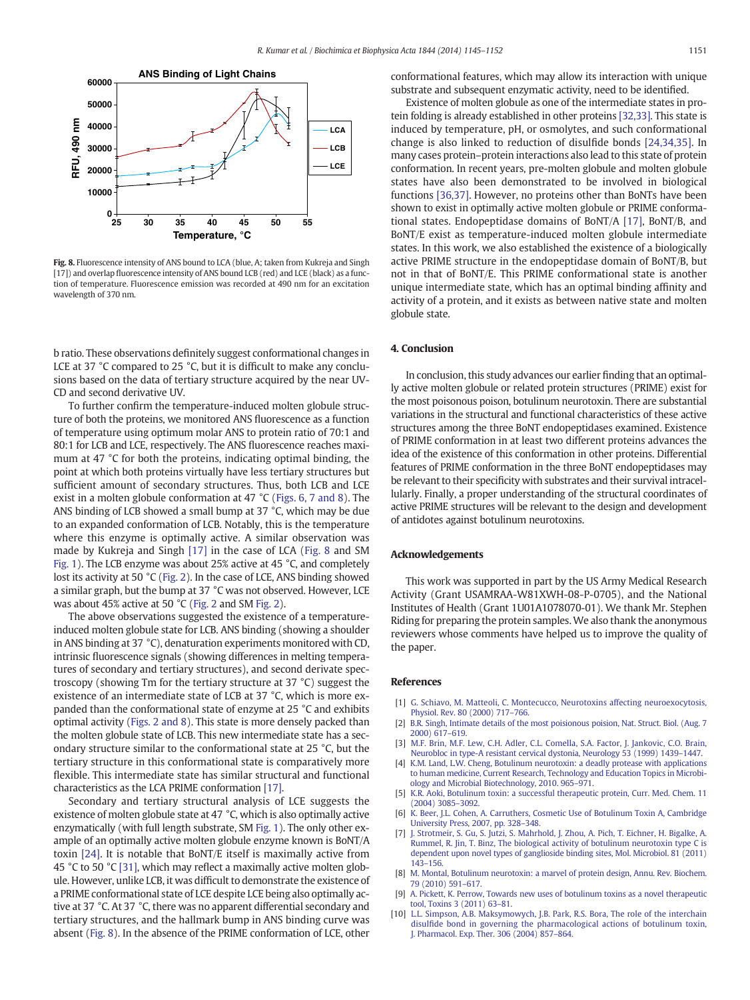<span id="page-6-0"></span>

Fig. 8. Fluorescence intensity of ANS bound to LCA (blue, A; taken from Kukreja and Singh [17]) and overlap fluorescence intensity of ANS bound LCB (red) and LCE (black) as a function of temperature. Fluorescence emission was recorded at 490 nm for an excitation wavelength of 370 nm.

b ratio. These observations definitely suggest conformational changes in LCE at 37 °C compared to 25 °C, but it is difficult to make any conclusions based on the data of tertiary structure acquired by the near UV-CD and second derivative UV.

To further confirm the temperature-induced molten globule structure of both the proteins, we monitored ANS fluorescence as a function of temperature using optimum molar ANS to protein ratio of 70:1 and 80:1 for LCB and LCE, respectively. The ANS fluorescence reaches maximum at 47 °C for both the proteins, indicating optimal binding, the point at which both proteins virtually have less tertiary structures but sufficient amount of secondary structures. Thus, both LCB and LCE exist in a molten globule conformation at 47 °C [\(Figs. 6, 7 and 8\)](#page-5-0). The ANS binding of LCB showed a small bump at 37 °C, which may be due to an expanded conformation of LCB. Notably, this is the temperature where this enzyme is optimally active. A similar observation was made by Kukreja and Singh [\[17\]](#page-7-0) in the case of LCA (Fig. 8 and SM [Fig. 1](#page-2-0)). The LCB enzyme was about 25% active at 45 °C, and completely lost its activity at 50 °C [\(Fig. 2\)](#page-3-0). In the case of LCE, ANS binding showed a similar graph, but the bump at 37 °C was not observed. However, LCE was about 45% active at 50 °C ([Fig. 2](#page-3-0) and SM [Fig. 2\)](#page-3-0).

The above observations suggested the existence of a temperatureinduced molten globule state for LCB. ANS binding (showing a shoulder in ANS binding at 37 °C), denaturation experiments monitored with CD, intrinsic fluorescence signals (showing differences in melting temperatures of secondary and tertiary structures), and second derivate spectroscopy (showing Tm for the tertiary structure at 37 °C) suggest the existence of an intermediate state of LCB at 37 °C, which is more expanded than the conformational state of enzyme at 25 °C and exhibits optimal activity [\(Figs. 2 and 8](#page-3-0)). This state is more densely packed than the molten globule state of LCB. This new intermediate state has a secondary structure similar to the conformational state at 25 °C, but the tertiary structure in this conformational state is comparatively more flexible. This intermediate state has similar structural and functional characteristics as the LCA PRIME conformation [\[17\].](#page-7-0)

Secondary and tertiary structural analysis of LCE suggests the existence of molten globule state at 47 °C, which is also optimally active enzymatically (with full length substrate, SM [Fig. 1](#page-2-0)). The only other example of an optimally active molten globule enzyme known is BoNT/A toxin [\[24\].](#page-7-0) It is notable that BoNT/E itself is maximally active from 45 °C to 50 °C [\[31\],](#page-7-0) which may reflect a maximally active molten globule. However, unlike LCB, it was difficult to demonstrate the existence of a PRIME conformational state of LCE despite LCE being also optimally active at 37 °C. At 37 °C, there was no apparent differential secondary and tertiary structures, and the hallmark bump in ANS binding curve was absent (Fig. 8). In the absence of the PRIME conformation of LCE, other

conformational features, which may allow its interaction with unique substrate and subsequent enzymatic activity, need to be identified.

Existence of molten globule as one of the intermediate states in protein folding is already established in other proteins [\[32,33\].](#page-7-0) This state is induced by temperature, pH, or osmolytes, and such conformational change is also linked to reduction of disulfide bonds [\[24,34,35\]](#page-7-0). In many cases protein–protein interactions also lead to this state of protein conformation. In recent years, pre-molten globule and molten globule states have also been demonstrated to be involved in biological functions [\[36,37\].](#page-7-0) However, no proteins other than BoNTs have been shown to exist in optimally active molten globule or PRIME conformational states. Endopeptidase domains of BoNT/A [\[17\]](#page-7-0), BoNT/B, and BoNT/E exist as temperature-induced molten globule intermediate states. In this work, we also established the existence of a biologically active PRIME structure in the endopeptidase domain of BoNT/B, but not in that of BoNT/E. This PRIME conformational state is another unique intermediate state, which has an optimal binding affinity and activity of a protein, and it exists as between native state and molten globule state.

#### 4. Conclusion

In conclusion, this study advances our earlier finding that an optimally active molten globule or related protein structures (PRIME) exist for the most poisonous poison, botulinum neurotoxin. There are substantial variations in the structural and functional characteristics of these active structures among the three BoNT endopeptidases examined. Existence of PRIME conformation in at least two different proteins advances the idea of the existence of this conformation in other proteins. Differential features of PRIME conformation in the three BoNT endopeptidases may be relevant to their specificity with substrates and their survival intracellularly. Finally, a proper understanding of the structural coordinates of active PRIME structures will be relevant to the design and development of antidotes against botulinum neurotoxins.

#### Acknowledgements

This work was supported in part by the US Army Medical Research Activity (Grant USAMRAA-W81XWH-08-P-0705), and the National Institutes of Health (Grant 1U01A1078070-01). We thank Mr. Stephen Riding for preparing the protein samples. We also thank the anonymous reviewers whose comments have helped us to improve the quality of the paper.

#### References

- [1] [G. Schiavo, M. Matteoli, C. Montecucco, Neurotoxins affecting neuroexocytosis,](http://refhub.elsevier.com/S1570-9639(14)00039-9/rf0005) [Physiol. Rev. 80 \(2000\) 717](http://refhub.elsevier.com/S1570-9639(14)00039-9/rf0005)–766.
- [2] [B.R. Singh, Intimate details of the most poisionous poision, Nat. Struct. Biol. \(Aug. 7](http://refhub.elsevier.com/S1570-9639(14)00039-9/rf0010) [2000\) 617](http://refhub.elsevier.com/S1570-9639(14)00039-9/rf0010)–619.
- [M.F. Brin, M.F. Lew, C.H. Adler, C.L. Comella, S.A. Factor, J. Jankovic, C.O. Brain,](http://refhub.elsevier.com/S1570-9639(14)00039-9/rf0015) [Neurobloc in type-A resistant cervical dystonia, Neurology 53 \(1999\) 1439](http://refhub.elsevier.com/S1570-9639(14)00039-9/rf0015)–1447.
- [4] [K.M. Land, L.W. Cheng, Botulinum neurotoxin: a deadly protease with applications](http://refhub.elsevier.com/S1570-9639(14)00039-9/rf0020) [to human medicine, Current Research, Technology and Education Topics in Microbi](http://refhub.elsevier.com/S1570-9639(14)00039-9/rf0020)[ology and Microbial Biotechnology, 2010. 965](http://refhub.elsevier.com/S1570-9639(14)00039-9/rf0020)–971.
- [5] [K.R. Aoki, Botulinum toxin: a successful therapeutic protein, Curr. Med. Chem. 11](http://refhub.elsevier.com/S1570-9639(14)00039-9/rf0025) [\(2004\) 3085](http://refhub.elsevier.com/S1570-9639(14)00039-9/rf0025)–3092.
- [6] [K. Beer, J.L. Cohen, A. Carruthers, Cosmetic Use of Botulinum Toxin A, Cambridge](http://refhub.elsevier.com/S1570-9639(14)00039-9/rf0205) [University Press, 2007, pp. 328](http://refhub.elsevier.com/S1570-9639(14)00039-9/rf0205)–348.
- [7] [J. Strotmeir, S. Gu, S. Jutzi, S. Mahrhold, J. Zhou, A. Pich, T. Eichner, H. Bigalke, A.](http://refhub.elsevier.com/S1570-9639(14)00039-9/rf0035) [Rummel, R. Jin, T. Binz, The biological activity of botulinum neurotoxin type C is](http://refhub.elsevier.com/S1570-9639(14)00039-9/rf0035) [dependent upon novel types of ganglioside binding sites, Mol. Microbiol. 81 \(2011\)](http://refhub.elsevier.com/S1570-9639(14)00039-9/rf0035) 143–[156.](http://refhub.elsevier.com/S1570-9639(14)00039-9/rf0035)
- [8] [M. Montal, Botulinum neurotoxin: a marvel of protein design, Annu. Rev. Biochem.](http://refhub.elsevier.com/S1570-9639(14)00039-9/rf0040) [79 \(2010\) 591](http://refhub.elsevier.com/S1570-9639(14)00039-9/rf0040)–617.
- [9] [A. Pickett, K. Perrow, Towards new uses of botulinum toxins as a novel therapeutic](http://refhub.elsevier.com/S1570-9639(14)00039-9/rf0045) [tool, Toxins 3 \(2011\) 63](http://refhub.elsevier.com/S1570-9639(14)00039-9/rf0045)–81.
- [10] [L.L. Simpson, A.B. Maksymowych, J.B. Park, R.S. Bora, The role of the interchain](http://refhub.elsevier.com/S1570-9639(14)00039-9/rf0050) disulfi[de bond in governing the pharmacological actions of botulinum toxin,](http://refhub.elsevier.com/S1570-9639(14)00039-9/rf0050) [J. Pharmacol. Exp. Ther. 306 \(2004\) 857](http://refhub.elsevier.com/S1570-9639(14)00039-9/rf0050)–864.